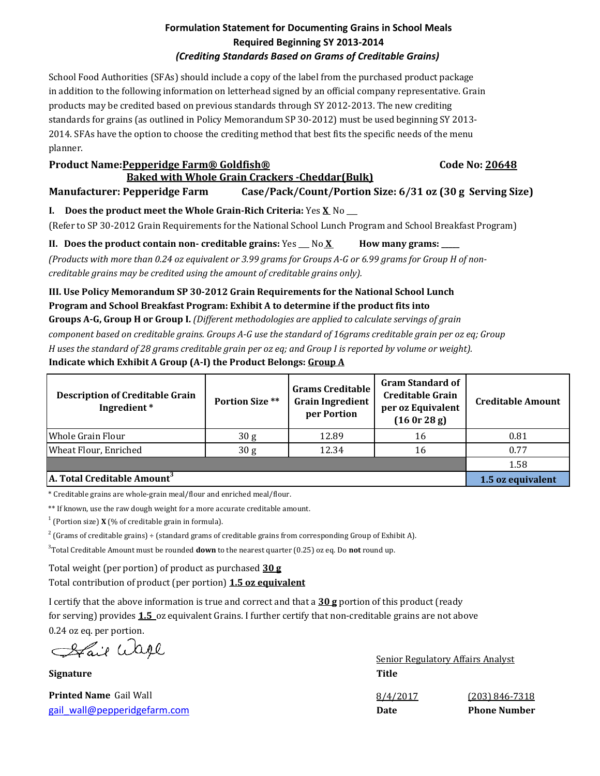### **Formulation Statement for Documenting Grains in School Meals Required Beginning SY 2013-2014** *(Crediting Standards Based on Grams of Creditable Grains)*

School Food Authorities (SFAs) should include a copy of the label from the purchased product package in addition to the following information on letterhead signed by an official company representative. Grain products may be credited based on previous standards through SY 2012-2013. The new crediting standards for grains (as outlined in Policy Memorandum SP 30-2012) must be used beginning SY 2013- 2014. SFAs have the option to choose the crediting method that best fits the specific needs of the menu planner.

#### **Product Name:Pepperidge Farm® Goldfish® Code No: 20648 Baked with Whole Grain Crackers -Cheddar(Bulk)**

**Manufacturer: Pepperidge Farm Case/Pack/Count/Portion Size: 6/31 oz (30 g Serving Size)**

# **I. Does the product meet the Whole Grain-Rich Criteria:** Yes **X** No \_\_\_

(Refer to SP 30-2012 Grain Requirements for the National School Lunch Program and School Breakfast Program)

**II. Does the product contain non- creditable grains:** Yes  $\sim$  No X How many grams:

*(Products with more than 0.24 oz equivalent or 3.99 grams for Groups A-G or 6.99 grams for Group H of noncreditable grains may be credited using the amount of creditable grains only).*

## **III. Use Policy Memorandum SP 30-2012 Grain Requirements for the National School Lunch Program and School Breakfast Program: Exhibit A to determine if the product fits into**

**Groups A-G, Group H or Group I.** *(Different methodologies are applied to calculate servings of grain component based on creditable grains. Groups A-G use the standard of 16grams creditable grain per oz eq; Group H uses the standard of 28 grams creditable grain per oz eq; and Group I is reported by volume or weight).* **Indicate which Exhibit A Group (A-I) the Product Belongs: Group A**

| <b>Description of Creditable Grain</b><br>Ingredient* | <b>Portion Size **</b> | <b>Grams Creditable</b><br><b>Grain Ingredient</b><br>per Portion | <b>Gram Standard of</b><br><b>Creditable Grain</b><br>per oz Equivalent<br>(160r 28g) | <b>Creditable Amount</b> |
|-------------------------------------------------------|------------------------|-------------------------------------------------------------------|---------------------------------------------------------------------------------------|--------------------------|
| <b>I</b> Whole Grain Flour                            | 30 <sub>g</sub>        | 12.89                                                             | 16                                                                                    | 0.81                     |
| Wheat Flour, Enriched                                 | 30 <sub>g</sub>        | 12.34                                                             | 16                                                                                    | 0.77                     |
|                                                       |                        |                                                                   |                                                                                       | 1.58                     |
| A. Total Creditable Amount <sup>3</sup>               | 1.5 oz equivalent      |                                                                   |                                                                                       |                          |

\* Creditable grains are whole-grain meal/flour and enriched meal/flour.

\*\* If known, use the raw dough weight for a more accurate creditable amount.

 $1$  (Portion size) **X** (% of creditable grain in formula).

 $^2$  (Grams of creditable grains) ÷ (standard grams of creditable grains from corresponding Group of Exhibit A).

3 Total Creditable Amount must be rounded **down** to the nearest quarter (0.25) oz eq. Do **not** round up.

Total weight (per portion) of product as purchased **30 g**

Total contribution of product (per portion) **1.5 oz equivalent**

I certify that the above information is true and correct and that a **30 g** portion of this product (ready for serving) provides **1.5** oz equivalent Grains. I further certify that non-creditable grains are not above 0.24 oz eq. per portion.

Afair Wage

**Signature Title**

[gail\\_wall@pepperidgefarm.com](mailto:gail_wall@pepperidgefarm.com) **Date Phone Number**

Senior Regulatory Affairs Analyst **Printed Name** Gail Wall **1996 Canada Contract 2008 Canada Contract 2008 Canada Contract 2008 Canada Contract 2008 Canada Contract 2008 Canada Contract 2008 Canada Contract 2008 Canada Contract 2008 Canad**